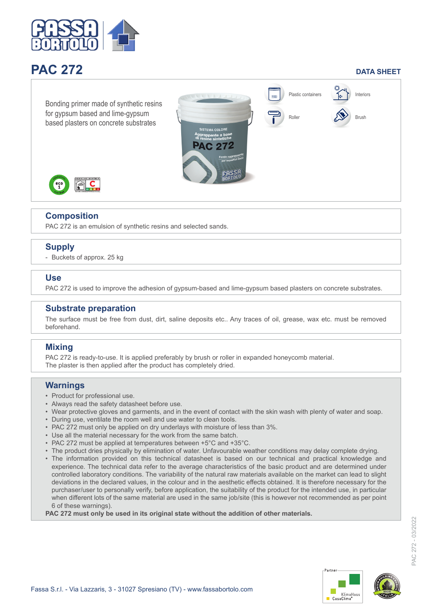

# **PAC 272 DATA SHEET**



## **Composition**

PAC 272 is an emulsion of synthetic resins and selected sands.

# **Supply**

- Buckets of approx. 25 kg

#### **Use**

PAC 272 is used to improve the adhesion of gypsum-based and lime-gypsum based plasters on concrete substrates.

#### **Substrate preparation**

The surface must be free from dust, dirt, saline deposits etc.. Any traces of oil, grease, wax etc. must be removed beforehand.

### **Mixing**

PAC 272 is ready-to-use. It is applied preferably by brush or roller in expanded honeycomb material. The plaster is then applied after the product has completely dried.

#### **Warnings**

- Product for professional use.
- Always read the safety datasheet before use.
- Wear protective gloves and garments, and in the event of contact with the skin wash with plenty of water and soap.
- During use, ventilate the room well and use water to clean tools.
- PAC 272 must only be applied on dry underlays with moisture of less than 3%.
- Use all the material necessary for the work from the same batch.
- PAC 272 must be applied at temperatures between +5°C and +35°C.
- The product dries physically by elimination of water. Unfavourable weather conditions may delay complete drying.
- The information provided on this technical datasheet is based on our technical and practical knowledge and experience. The technical data refer to the average characteristics of the basic product and are determined under controlled laboratory conditions. The variability of the natural raw materials available on the market can lead to slight deviations in the declared values, in the colour and in the aesthetic effects obtained. It is therefore necessary for the purchaser/user to personally verify, before application, the suitability of the product for the intended use, in particular when different lots of the same material are used in the same job/site (this is however not recommended as per point 6 of these warnings).

**PAC 272 must only be used in its original state without the addition of other materials.**